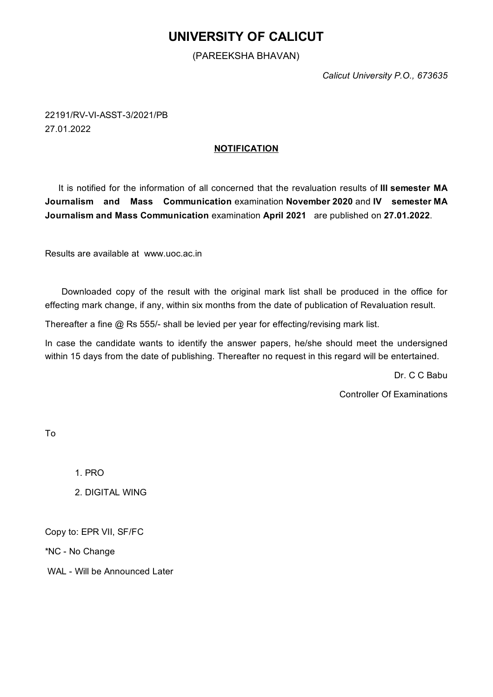## **UNIVERSITY OF CALICUT**

## (PAREEKSHA BHAVAN)

*Calicut University P.O., 673635*

22191/RV-VI-ASST-3/2021/PB 27.01.2022

## **NOTIFICATION**

It is notified for the information of all concerned that the revaluation results of **III semester MA Journalism and Mass Communication** examination **November 2020** and **IV semester MA Journalism and Mass Communication** examination **April 2021** are published on **27.01.2022**.

Results are available at www.uoc.ac.in

Downloaded copy of the result with the original mark list shall be produced in the office for effecting mark change, if any, within six months from the date of publication of Revaluation result.

Thereafter a fine @ Rs 555/- shall be levied per year for effecting/revising mark list.

In case the candidate wants to identify the answer papers, he/she should meet the undersigned within 15 days from the date of publishing. Thereafter no request in this regard will be entertained.

Dr. C C Babu

Controller Of Examinations

To

1. PRO

2. DIGITAL WING

Copy to: EPR VII, SF/FC

\*NC - No Change

WAL - Will be Announced Later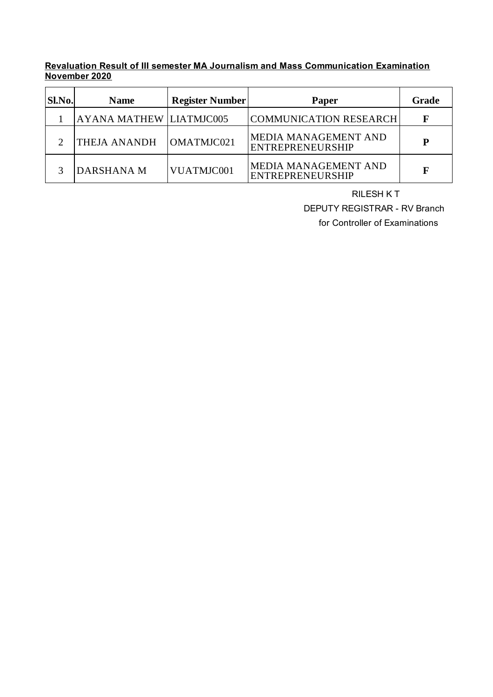**Revaluation Result of III semester MA Journalism and Mass Communication Examination November 2020**

| Sl.No. | <b>Name</b>                    | <b>Register Number</b> | Paper                                                  | Grade |
|--------|--------------------------------|------------------------|--------------------------------------------------------|-------|
|        | <b>AYANA MATHEW LIATMJC005</b> |                        | <b>COMMUNICATION RESEARCH</b>                          | F     |
|        | <b>THEJA ANANDH</b>            | OMATMJC021             | MEDIA MANAGEMENT AND<br><b>ENTREPRENEURSHIP</b>        | P     |
|        | DARSHANA M                     | VUATMJC001             | <b>MEDIA MANAGEMENT AND</b><br><b>ENTREPRENEURSHIP</b> | F     |

RILESH K T

DEPUTY REGISTRAR - RV Branch

for Controller of Examinations